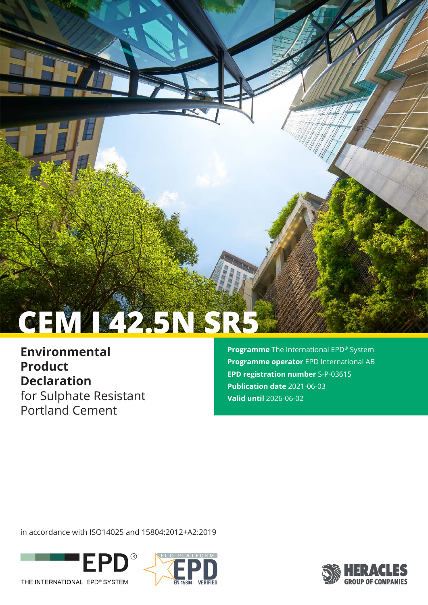# **CEM I 42.5N SR5**

**Environmental Product Declaration** for Sulphate Resistant Portland Cement

**Programme** The International EPD® System **Programme operator** EPD International AB **EPD registration number** S-P-03615 **Publication date** 2021-06-03 **Valid until** 2026-06-02

in accordance with ISO14025 and 15804:2012+A2:2019





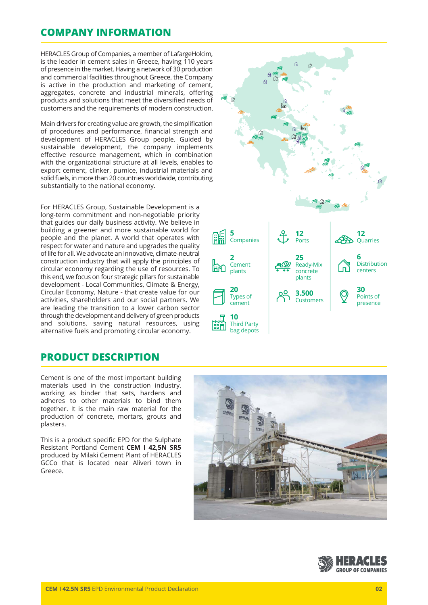## **COMPANY INFORMATION**

HERACLES Group of Companies, a member of LafargeHolcim, is the leader in cement sales in Greece, having 110 years of presence in the market. Having a network of 30 production and commercial facilities throughout Greece, the Company is active in the production and marketing of cement, aggregates, concrete and industrial minerals, offering products and solutions that meet the diversified needs of customers and the requirements of modern construction.

Main drivers for creating value are growth, the simplification of procedures and performance, financial strength and development of HERACLES Group people. Guided by sustainable development, the company implements effective resource management, which in combination with the organizational structure at all levels, enables to export cement, clinker, pumice, industrial materials and solid fuels, in more than 20 countries worldwide, contributing substantially to the national economy.

For HERACLES Group, Sustainable Development is a long-term commitment and non-negotiable priority that guides our daily business activity. We believe in building a greener and more sustainable world for people and the planet. A world that operates with respect for water and nature and upgrades the quality of life for all. We advocate an innovative, climate-neutral construction industry that will apply the principles of circular economy regarding the use of resources. To this end, we focus on four strategic pillars for sustainable development - Local Communities, Climate & Energy, Circular Economy, Nature - that create value for our activities, shareholders and our social partners. We are leading the transition to a lower carbon sector through the development and delivery of green products and solutions, saving natural resources, using alternative fuels and promoting circular economy.

## **PRODUCT DESCRIPTION**

Cement is one of the most important building materials used in the construction industry, working as binder that sets, hardens and adheres to other materials to bind them together. It is the main raw material for the production of concrete, mortars, grouts and plasters.

This is a product specific EPD for the Sulphate Resistant Portland Cement **CEM I 42,5N SR5**  produced by Milaki Cement Plant of HERACLES GCCo that is located near Aliveri town in Greece.







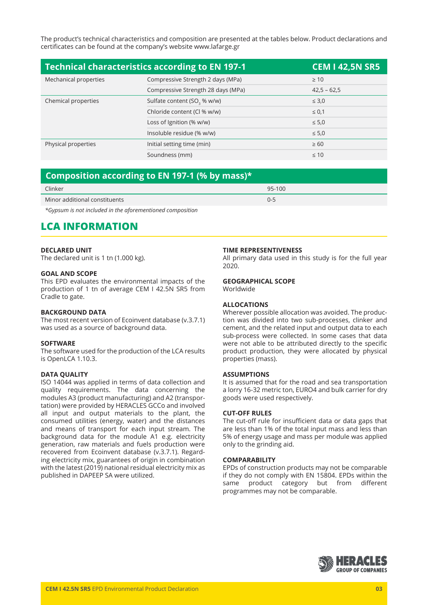The product's technical characteristics and composition are presented at the tables below. Product declarations and certificates can be found at the company's website www.lafarge.gr

| <b>Technical characteristics according to EN 197-1</b><br><b>CEM I 42,5N SR5</b> |                                         |               |  |
|----------------------------------------------------------------------------------|-----------------------------------------|---------------|--|
| Mechanical properties                                                            | Compressive Strength 2 days (MPa)       | $\geq 10$     |  |
|                                                                                  | Compressive Strength 28 days (MPa)      | $42,5 - 62,5$ |  |
| Chemical properties                                                              | Sulfate content (SO <sub>3</sub> % w/w) | $\leq 3.0$    |  |
|                                                                                  | Chloride content (Cl % w/w)             | $\leq 0.1$    |  |
|                                                                                  | Loss of Ignition (% w/w)                | $\leq 5.0$    |  |
|                                                                                  | Insoluble residue (% w/w)               | $\leq 5.0$    |  |
| Physical properties                                                              | Initial setting time (min)              | $\geq 60$     |  |
|                                                                                  | Soundness (mm)                          | $\leq 10$     |  |

## **Composition according to EN 197-1 (% by mass)\***

| - - -                         |        |
|-------------------------------|--------|
| Clinker                       | 95-100 |
| Minor additional constituents | U-E    |

*\*Gypsum is not included in the aforementioned composition*

## **LCA INFORMATION**

#### **DECLARED UNIT**

The declared unit is 1 tn (1.000 kg).

#### **GOAL AND SCOPE**

This EPD evaluates the environmental impacts of the production of 1 tn of average CEM I 42.5N SR5 from Cradle to gate.

#### **BACKGROUND DATA**

The most recent version of Ecoinvent database (v.3.7.1) was used as a source of background data.

#### **SOFTWARE**

The software used for the production of the LCA results is OpenLCA 1.10.3.

#### **DATA QUALITY**

ISO 14044 was applied in terms of data collection and quality requirements. The data concerning the modules A3 (product manufacturing) and A2 (transportation) were provided by HERACLES GCCo and involved all input and output materials to the plant, the consumed utilities (energy, water) and the distances and means of transport for each input stream. The background data for the module A1 e.g. electricity generation, raw materials and fuels production were recovered from Ecoinvent database (v.3.7.1). Regarding electricity mix, guarantees of origin in combination with the latest (2019) national residual electricity mix as published in DAPEEP SA were utilized.

#### **TIME REPRESENTIVENESS**

All primary data used in this study is for the full year 2020.

#### **GEOGRAPHICAL SCOPE**

Worldwide

#### **ALLOCATIONS**

Wherever possible allocation was avoided. The production was divided into two sub-processes, clinker and cement, and the related input and output data to each sub-process were collected. In some cases that data were not able to be attributed directly to the specific product production, they were allocated by physical properties (mass).

#### **ASSUMPTIONS**

It is assumed that for the road and sea transportation a lorry 16-32 metric ton, EURO4 and bulk carrier for dry goods were used respectively.

#### **CUT-OFF RULES**

The cut-off rule for insufficient data or data gaps that are less than 1% of the total input mass and less than 5% of energy usage and mass per module was applied only to the grinding aid.

#### **COMPARABILITY**

EPDs of construction products may not be comparable if they do not comply with EN 15804. EPDs within the same product category but from different programmes may not be comparable.

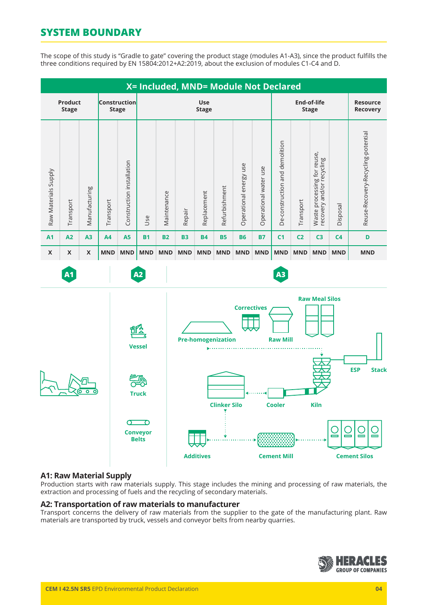# **SYSTEM BOUNDARY**

The scope of this study is "Gradle to gate" covering the product stage (modules A1-A3), since the product fulfills the three conditions required by EN 15804:2012+A2:2019, about the exclusion of modules C1-C4 and D.



## **A1: Raw Material Supply**

Production starts with raw materials supply. This stage includes the mining and processing of raw materials, the extraction and processing of fuels and the recycling of secondary materials.

### **A2: Transportation of raw materials to manufacturer**

Transport concerns the delivery of raw materials from the supplier to the gate of the manufacturing plant. Raw materials are transported by truck, vessels and conveyor belts from nearby quarries.

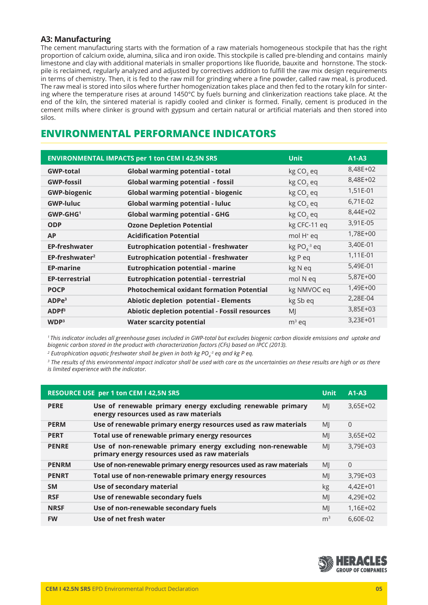## **A3: Manufacturing**

The cement manufacturing starts with the formation of a raw materials homogeneous stockpile that has the right proportion of calcium oxide, alumina, silica and iron oxide. This stockpile is called pre-blending and contains mainly limestone and clay with additional materials in smaller proportions like fluoride, bauxite and hornstone. The stockpile is reclaimed, regularly analyzed and adjusted by correctives addition to fulfill the raw mix design requirements in terms of chemistry. Then, it is fed to the raw mill for grinding where a fine powder, called raw meal, is produced. The raw meal is stored into silos where further homogenization takes place and then fed to the rotary kiln for sintering where the temperature rises at around 1450°C by fuels burning and clinkerization reactions take place. At the end of the kiln, the sintered material is rapidly cooled and clinker is formed. Finally, cement is produced in the cement mills where clinker is ground with gypsum and certain natural or artificial materials and then stored into silos.

# **ENVIRONMENTAL PERFORMANCE INDICATORS**

| <b>ENVIRONMENTAL IMPACTS per 1 ton CEM I 42,5N SR5</b><br><b>Unit</b><br>$A1-A3$ |                                                  |                          |            |
|----------------------------------------------------------------------------------|--------------------------------------------------|--------------------------|------------|
| <b>GWP-total</b>                                                                 | Global warming potential - total                 | kg CO <sub>2</sub> eq    | 8,48E+02   |
| <b>GWP-fossil</b>                                                                | <b>Global warming potential - fossil</b>         | kg CO <sub>2</sub> eq    | 8,48E+02   |
| <b>GWP-biogenic</b>                                                              | Global warming potential - biogenic              | kg CO <sub>2</sub> eq    | 1,51E-01   |
| <b>GWP-luluc</b>                                                                 | <b>Global warming potential - luluc</b>          | kg CO <sub>2</sub> eq    | 6,71E-02   |
| $GWP-GHG1$                                                                       | <b>Global warming potential - GHG</b>            | kg CO <sub>2</sub> eq    | 8,44E+02   |
| <b>ODP</b>                                                                       | <b>Ozone Depletion Potential</b>                 | kg CFC-11 eq             | 3,91E-05   |
| <b>AP</b>                                                                        | <b>Acidification Potential</b>                   | mol H <sup>+</sup> eq    | 1,78E+00   |
| <b>EP-freshwater</b>                                                             | <b>Eutrophication potential - freshwater</b>     | $kg PO4$ <sup>3</sup> eq | 3,40E-01   |
| $EP-freeshwater2$                                                                | <b>Eutrophication potential - freshwater</b>     | kg P eq                  | 1,11E-01   |
| <b>EP-marine</b>                                                                 | <b>Eutrophication potential - marine</b>         | kg N eq                  | 5,49E-01   |
| <b>EP-terrestrial</b>                                                            | <b>Eutrophication potential - terrestrial</b>    | mol N eq                 | 5,87E+00   |
| <b>POCP</b>                                                                      | <b>Photochemical oxidant formation Potential</b> | kg NMVOC eq              | 1,49E+00   |
| ADPe <sup>3</sup>                                                                | Abiotic depletion potential - Elements           | kg Sb eq                 | 2,28E-04   |
| ADPF <sup>3</sup>                                                                | Abiotic depletion potential - Fossil resources   | MJ                       | 3,85E+03   |
| WDP <sup>3</sup>                                                                 | <b>Water scarcity potential</b>                  | $m3$ eq                  | $3,23E+01$ |

*1 This indicator includes all greenhouse gases included in GWP-total but excludes biogenic carbon dioxide emissions and uptake and biogenic carbon stored in the product with characterization factors (CFs) based on IPCC (2013).* 

<sup>2</sup> Eutrophication aquatic freshwater shall be given in both kg PO<sub>4</sub><sup>3</sup> eq and kg P eq.

*3 The results of this environmental impact indicator shall be used with care as the uncertainties on these results are high or as there is limited experience with the indicator.*

| RESOURCE USE per 1 ton CEM I 42,5N SR5<br><b>Unit</b><br>$A1-A3$ |                                                                                                               |                |                |
|------------------------------------------------------------------|---------------------------------------------------------------------------------------------------------------|----------------|----------------|
| <b>PERE</b>                                                      | Use of renewable primary energy excluding renewable primary<br>energy resources used as raw materials         | MI             | $3,65E+02$     |
| <b>PERM</b>                                                      | Use of renewable primary energy resources used as raw materials                                               | MI             | $\overline{0}$ |
| <b>PERT</b>                                                      | Total use of renewable primary energy resources                                                               | MI             | $3,65E+02$     |
| <b>PENRE</b>                                                     | Use of non-renewable primary energy excluding non-renewable<br>primary energy resources used as raw materials | MI             | 3,79E+03       |
| <b>PENRM</b>                                                     | Use of non-renewable primary energy resources used as raw materials                                           | MI             | $\Omega$       |
| <b>PENRT</b>                                                     | Total use of non-renewable primary energy resources                                                           | MI             | 3,79E+03       |
| <b>SM</b>                                                        | Use of secondary material                                                                                     | kg             | $4,42E+01$     |
| <b>RSF</b>                                                       | Use of renewable secondary fuels                                                                              | MI             | 4,29E+02       |
| <b>NRSF</b>                                                      | Use of non-renewable secondary fuels                                                                          | MI             | 1,16E+02       |
| <b>FW</b>                                                        | Use of net fresh water                                                                                        | m <sup>3</sup> | 6,60E-02       |

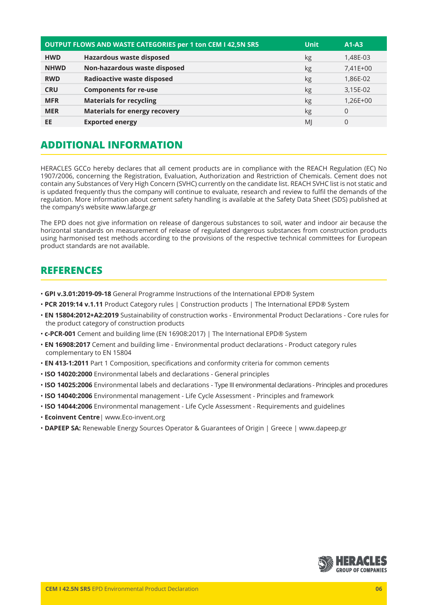| <b>OUTPUT FLOWS AND WASTE CATEGORIES per 1 ton CEM I 42,5N SR5</b><br><b>Unit</b><br>$A1-A3$ |                                      |    |          |
|----------------------------------------------------------------------------------------------|--------------------------------------|----|----------|
| <b>HWD</b>                                                                                   | <b>Hazardous waste disposed</b>      | kg | 1,48E-03 |
| <b>NHWD</b>                                                                                  | Non-hazardous waste disposed         | kg | 7,41E+00 |
| <b>RWD</b>                                                                                   | <b>Radioactive waste disposed</b>    | kg | 1,86E-02 |
| <b>CRU</b>                                                                                   | <b>Components for re-use</b>         | kg | 3,15E-02 |
| <b>MFR</b>                                                                                   | <b>Materials for recycling</b>       | kg | 1,26E+00 |
| <b>MER</b>                                                                                   | <b>Materials for energy recovery</b> | kg | $\Omega$ |
| EE                                                                                           | <b>Exported energy</b>               | MI | 0        |

# **ADDITIONAL INFORMATION**

HERACLES GCCo hereby declares that all cement products are in compliance with the REACH Regulation (EC) No 1907/2006, concerning the Registration, Evaluation, Authorization and Restriction of Chemicals. Cement does not contain any Substances of Very High Concern (SVHC) currently on the candidate list. REACH SVHC list is not static and is updated frequently thus the company will continue to evaluate, research and review to fulfil the demands of the regulation. More information about cement safety handling is available at the Safety Data Sheet (SDS) published at the company's website www.lafarge.gr

The EPD does not give information on release of dangerous substances to soil, water and indoor air because the horizontal standards on measurement of release of regulated dangerous substances from construction products using harmonised test methods according to the provisions of the respective technical committees for European product standards are not available.

## **REFERENCES**

- • **GPI v.3.01:2019-09-18** General Programme Instructions of the International EPD® System
- **PCR 2019:14 v.1.11** Product Category rules | Construction products | The International EPD® System
- **EN 15804:2012+A2:2019** Sustainability of construction works Environmental Product Declarations Core rules for the product category of construction products
- **c-PCR-001** Cement and building lime (EN 16908:2017) | The International EPD® System
- • **EN 16908:2017** Cement and building lime Environmental product declarations Product category rules complementary to EN 15804
- • **EN 413-1:2011** Part 1 Composition, specifications and conformity criteria for common cements
- • **ISO 14020:2000** Environmental labels and declarations General principles
- • **ISO 14025:2006** Environmental labels and declarations Type III environmental declarations Principles and procedures
- **ISO 14040:2006** Environmental management Life Cycle Assessment Principles and framework
- • **ISO 14044:2006** Environmental management Life Cycle Assessment Requirements and guidelines
- • **Ecoinvent Centre**| www.Eco-invent.org
- **DAPEEP SA:** Renewable Energy Sources Operator & Guarantees of Origin | Greece | www.dapeep.gr

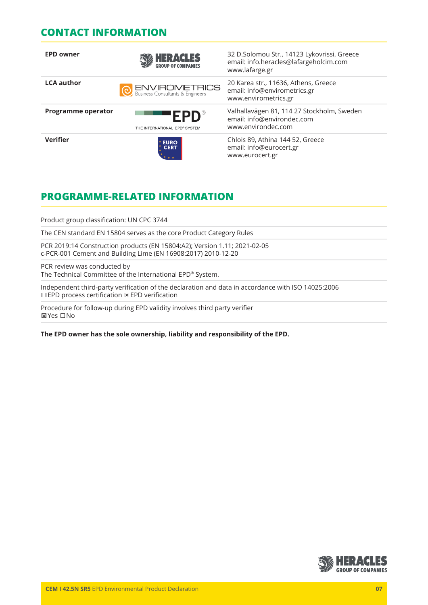## **CONTACT INFORMATION**

| <b>EPD owner</b>          | <b>HERACLES</b>                               | 32 D.Solomou Str., 14123 Lykovrissi, Greece<br>email: info.heracles@lafargeholcim.com<br>www.lafarge.gr |
|---------------------------|-----------------------------------------------|---------------------------------------------------------------------------------------------------------|
| <b>LCA author</b>         | ENVIROMETRICS                                 | 20 Karea str., 11636, Athens, Greece<br>email: info@envirometrics.gr<br>www.envirometrics.gr            |
| <b>Programme operator</b> | <b>EPD</b> ®<br>THE INTERNATIONAL EPD® SYSTEM | Valhallavägen 81, 114 27 Stockholm, Sweden<br>email: info@environdec.com<br>www.environdec.com          |
| <b>Verifier</b>           | <b>EURO<br/>CERT</b>                          | Chlois 89, Athina 144 52, Greece<br>email: info@eurocert.gr<br>www.eurocert.gr                          |

# **PROGRAMME-RELATED INFORMATION**

Product group classification: UN CPC 3744

The CEN standard EN 15804 serves as the core Product Category Rules

PCR 2019:14 Construction products (EN 15804:A2); Version 1.11; 2021-02-05 c-PCR-001 Cement and Building Lime (EN 16908:2017) 2010-12-20

PCR review was conducted by The Technical Committee of the International EPD® System.

Independent third-party verification of the declaration and data in accordance with ISO 14025:2006 EPD process certification EPD verification

Procedure for follow-up during EPD validity involves third party verifier **⊠Yes** □No

**The EPD owner has the sole ownership, liability and responsibility of the EPD.**